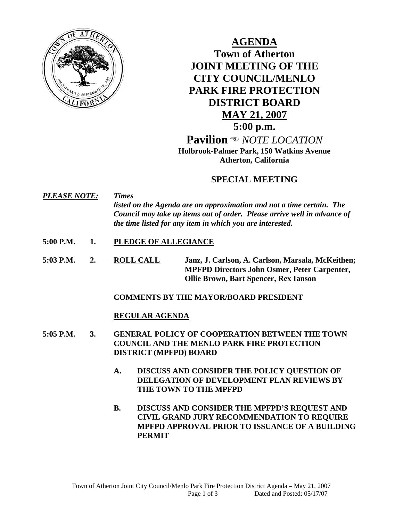

**AGENDA Town of Atherton JOINT MEETING OF THE CITY COUNCIL/MENLO PARK FIRE PROTECTION DISTRICT BOARD MAY 21, 2007 5:00 p.m. Pavilion** ( *NOTE LOCATION* **Holbrook-Palmer Park, 150 Watkins Avenue** 

**Atherton, California** 

# **SPECIAL MEETING**

*PLEASE NOTE: Times listed on the Agenda are an approximation and not a time certain. The Council may take up items out of order. Please arrive well in advance of the time listed for any item in which you are interested.* 

- **5:00 P.M. 1. PLEDGE OF ALLEGIANCE**
- **5:03 P.M. 2. ROLL CALL Janz, J. Carlson, A. Carlson, Marsala, McKeithen; MPFPD Directors John Osmer, Peter Carpenter, Ollie Brown, Bart Spencer, Rex Ianson**

## **COMMENTS BY THE MAYOR/BOARD PRESIDENT**

# **REGULAR AGENDA**

- **5:05 P.M. 3. GENERAL POLICY OF COOPERATION BETWEEN THE TOWN COUNCIL AND THE MENLO PARK FIRE PROTECTION DISTRICT (MPFPD) BOARD** 
	- **A. DISCUSS AND CONSIDER THE POLICY QUESTION OF DELEGATION OF DEVELOPMENT PLAN REVIEWS BY THE TOWN TO THE MPFPD**
	- **B. DISCUSS AND CONSIDER THE MPFPD'S REQUEST AND CIVIL GRAND JURY RECOMMENDATION TO REQUIRE MPFPD APPROVAL PRIOR TO ISSUANCE OF A BUILDING PERMIT**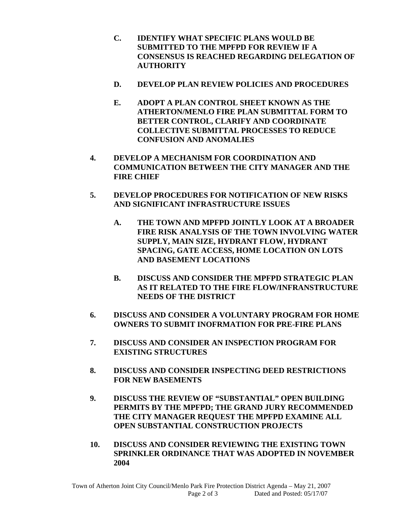- **C. IDENTIFY WHAT SPECIFIC PLANS WOULD BE SUBMITTED TO THE MPFPD FOR REVIEW IF A CONSENSUS IS REACHED REGARDING DELEGATION OF AUTHORITY**
- **D. DEVELOP PLAN REVIEW POLICIES AND PROCEDURES**
- **E. ADOPT A PLAN CONTROL SHEET KNOWN AS THE ATHERTON/MENLO FIRE PLAN SUBMITTAL FORM TO BETTER CONTROL, CLARIFY AND COORDINATE COLLECTIVE SUBMITTAL PROCESSES TO REDUCE CONFUSION AND ANOMALIES**
- **4. DEVELOP A MECHANISM FOR COORDINATION AND COMMUNICATION BETWEEN THE CITY MANAGER AND THE FIRE CHIEF**
- **5. DEVELOP PROCEDURES FOR NOTIFICATION OF NEW RISKS AND SIGNIFICANT INFRASTRUCTURE ISSUES** 
	- **A. THE TOWN AND MPFPD JOINTLY LOOK AT A BROADER FIRE RISK ANALYSIS OF THE TOWN INVOLVING WATER SUPPLY, MAIN SIZE, HYDRANT FLOW, HYDRANT SPACING, GATE ACCESS, HOME LOCATION ON LOTS AND BASEMENT LOCATIONS**
	- **B. DISCUSS AND CONSIDER THE MPFPD STRATEGIC PLAN AS IT RELATED TO THE FIRE FLOW/INFRANSTRUCTURE NEEDS OF THE DISTRICT**
- **6. DISCUSS AND CONSIDER A VOLUNTARY PROGRAM FOR HOME OWNERS TO SUBMIT INOFRMATION FOR PRE-FIRE PLANS**
- **7. DISCUSS AND CONSIDER AN INSPECTION PROGRAM FOR EXISTING STRUCTURES**
- **8. DISCUSS AND CONSIDER INSPECTING DEED RESTRICTIONS FOR NEW BASEMENTS**
- **9. DISCUSS THE REVIEW OF "SUBSTANTIAL" OPEN BUILDING PERMITS BY THE MPFPD; THE GRAND JURY RECOMMENDED THE CITY MANAGER REQUEST THE MPFPD EXAMINE ALL OPEN SUBSTANTIAL CONSTRUCTION PROJECTS**
- **10. DISCUSS AND CONSIDER REVIEWING THE EXISTING TOWN SPRINKLER ORDINANCE THAT WAS ADOPTED IN NOVEMBER 2004**